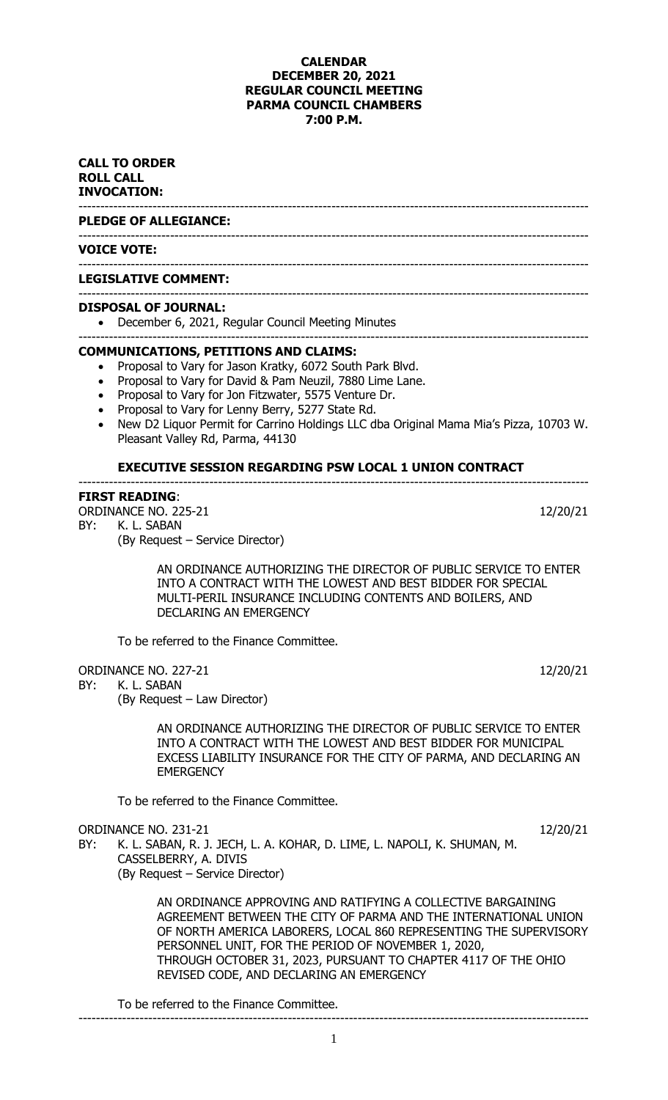## **CALENDAR DECEMBER 20, 2021 REGULAR COUNCIL MEETING PARMA COUNCIL CHAMBERS 7:00 P.M.**

---------------------------------------------------------------------------------------------------------------------

### **CALL TO ORDER ROLL CALL INVOCATION:**

--------------------------------------------------------------------------------------------------------------------- **PLEDGE OF ALLEGIANCE:**

### --------------------------------------------------------------------------------------------------------------------- **VOICE VOTE:**

### **LEGISLATIVE COMMENT:**

### --------------------------------------------------------------------------------------------------------------------- **DISPOSAL OF JOURNAL:**

• December 6, 2021, Regular Council Meeting Minutes

### --------------------------------------------------------------------------------------------------------------------- **COMMUNICATIONS, PETITIONS AND CLAIMS:**

- Proposal to Vary for Jason Kratky, 6072 South Park Blvd.
- Proposal to Vary for David & Pam Neuzil, 7880 Lime Lane.
- Proposal to Vary for Jon Fitzwater, 5575 Venture Dr.
- Proposal to Vary for Lenny Berry, 5277 State Rd.
- New D2 Liquor Permit for Carrino Holdings LLC dba Original Mama Mia's Pizza, 10703 W. Pleasant Valley Rd, Parma, 44130

---------------------------------------------------------------------------------------------------------------------

### **EXECUTIVE SESSION REGARDING PSW LOCAL 1 UNION CONTRACT**

### **FIRST READING**:

ORDINANCE NO. 225-21 12/20/21 BY: K. L. SABAN (By Request – Service Director)

> AN ORDINANCE AUTHORIZING THE DIRECTOR OF PUBLIC SERVICE TO ENTER INTO A CONTRACT WITH THE LOWEST AND BEST BIDDER FOR SPECIAL MULTI-PERIL INSURANCE INCLUDING CONTENTS AND BOILERS, AND DECLARING AN EMERGENCY

To be referred to the Finance Committee.

ORDINANCE NO. 227-21 12/20/21 12/20/21

BY: K. L. SABAN

(By Request – Law Director)

AN ORDINANCE AUTHORIZING THE DIRECTOR OF PUBLIC SERVICE TO ENTER INTO A CONTRACT WITH THE LOWEST AND BEST BIDDER FOR MUNICIPAL EXCESS LIABILITY INSURANCE FOR THE CITY OF PARMA, AND DECLARING AN **EMERGENCY** 

To be referred to the Finance Committee.

ORDINANCE NO. 231-21 12/20/21

BY: K. L. SABAN, R. J. JECH, L. A. KOHAR, D. LIME, L. NAPOLI, K. SHUMAN, M. CASSELBERRY, A. DIVIS (By Request – Service Director)

> AN ORDINANCE APPROVING AND RATIFYING A COLLECTIVE BARGAINING AGREEMENT BETWEEN THE CITY OF PARMA AND THE INTERNATIONAL UNION OF NORTH AMERICA LABORERS, LOCAL 860 REPRESENTING THE SUPERVISORY PERSONNEL UNIT, FOR THE PERIOD OF NOVEMBER 1, 2020, THROUGH OCTOBER 31, 2023, PURSUANT TO CHAPTER 4117 OF THE OHIO REVISED CODE, AND DECLARING AN EMERGENCY

To be referred to the Finance Committee.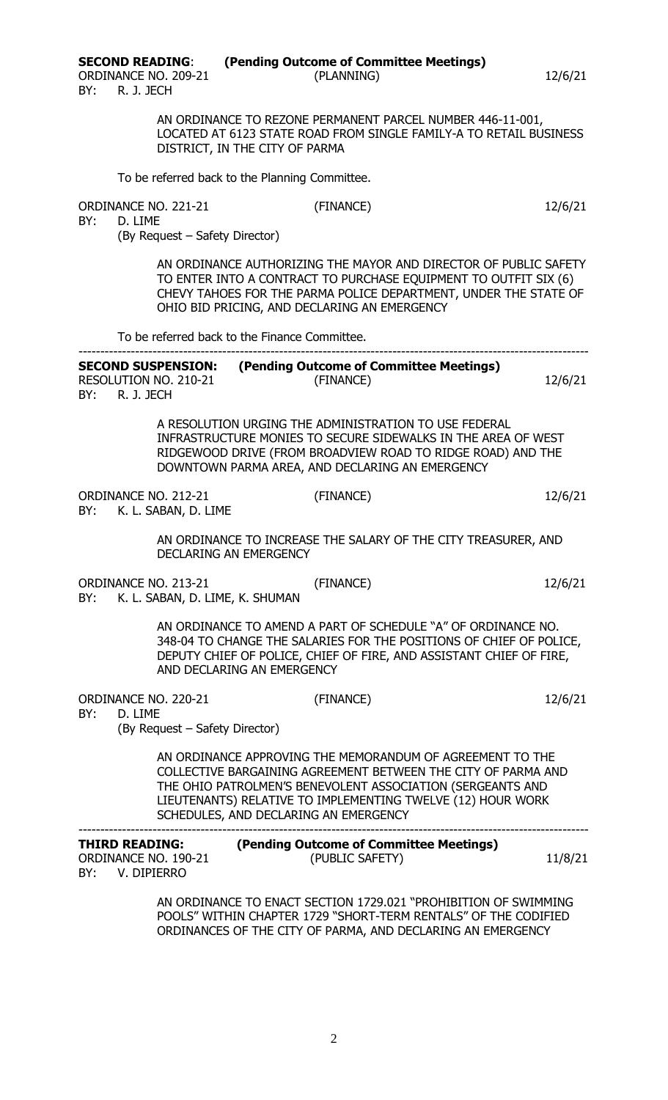BY: R. J. JECH

**SECOND READING**: **(Pending Outcome of Committee Meetings)** ORDINANCE NO. 209-21 (PLANNING) 12/6/21

> AN ORDINANCE TO REZONE PERMANENT PARCEL NUMBER 446-11-001, LOCATED AT 6123 STATE ROAD FROM SINGLE FAMILY-A TO RETAIL BUSINESS DISTRICT, IN THE CITY OF PARMA

To be referred back to the Planning Committee.

| ORDINANCE NO. 221-21 | (FINANCE) | 12/6/21 |
|----------------------|-----------|---------|
|                      |           |         |

BY: D. LIME

(By Request – Safety Director)

AN ORDINANCE AUTHORIZING THE MAYOR AND DIRECTOR OF PUBLIC SAFETY TO ENTER INTO A CONTRACT TO PURCHASE EQUIPMENT TO OUTFIT SIX (6) CHEVY TAHOES FOR THE PARMA POLICE DEPARTMENT, UNDER THE STATE OF OHIO BID PRICING, AND DECLARING AN EMERGENCY

To be referred back to the Finance Committee.

| <b>SECOND SUSPENSION:</b>    | (Pending Outcome of Committee Meetings) |         |
|------------------------------|-----------------------------------------|---------|
| <b>RESOLUTION NO. 210-21</b> | (FINANCE)                               | 12/6/21 |
| BY:<br>R. J. JECH            |                                         |         |

ORDINANCE NO. 212-21 (FINANCE) 12/6/21

A RESOLUTION URGING THE ADMINISTRATION TO USE FEDERAL INFRASTRUCTURE MONIES TO SECURE SIDEWALKS IN THE AREA OF WEST RIDGEWOOD DRIVE (FROM BROADVIEW ROAD TO RIDGE ROAD) AND THE DOWNTOWN PARMA AREA, AND DECLARING AN EMERGENCY

BY: K. L. SABAN, D. LIME AN ORDINANCE TO INCREASE THE SALARY OF THE CITY TREASURER, AND DECLARING AN EMERGENCY ORDINANCE NO. 213-21 (FINANCE) 12/6/21 BY: K. L. SABAN, D. LIME, K. SHUMAN AN ORDINANCE TO AMEND A PART OF SCHEDULE "A" OF ORDINANCE NO. 348-04 TO CHANGE THE SALARIES FOR THE POSITIONS OF CHIEF OF POLICE, DEPUTY CHIEF OF POLICE, CHIEF OF FIRE, AND ASSISTANT CHIEF OF FIRE, AND DECLARING AN EMERGENCY ORDINANCE NO. 220-21 (FINANCE) 12/6/21

BY: D. LIME

(By Request – Safety Director)

AN ORDINANCE APPROVING THE MEMORANDUM OF AGREEMENT TO THE COLLECTIVE BARGAINING AGREEMENT BETWEEN THE CITY OF PARMA AND THE OHIO PATROLMEN'S BENEVOLENT ASSOCIATION (SERGEANTS AND LIEUTENANTS) RELATIVE TO IMPLEMENTING TWELVE (12) HOUR WORK SCHEDULES, AND DECLARING AN EMERGENCY

| <b>THIRD READING:</b>                      | (Pending Outcome of Committee Meetings) |         |
|--------------------------------------------|-----------------------------------------|---------|
| ORDINANCE NO. 190-21<br>BY:<br>V. DIPIERRO | (PUBLIC SAFETY)                         | 11/8/21 |

AN ORDINANCE TO ENACT SECTION 1729.021 "PROHIBITION OF SWIMMING POOLS" WITHIN CHAPTER 1729 "SHORT-TERM RENTALS" OF THE CODIFIED ORDINANCES OF THE CITY OF PARMA, AND DECLARING AN EMERGENCY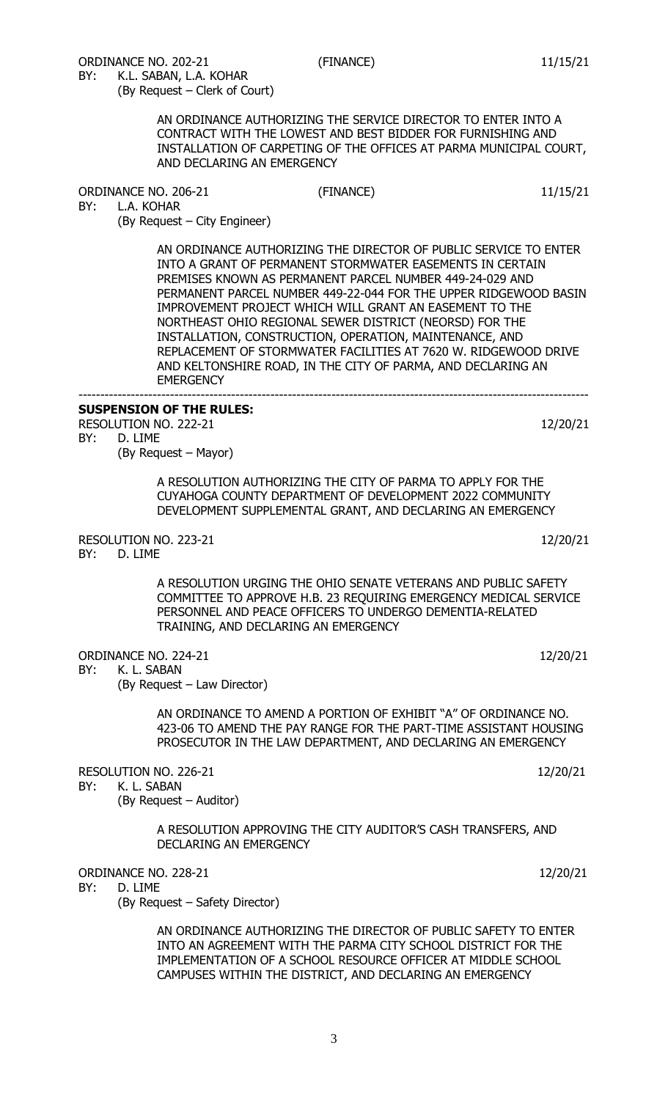BY: K.L. SABAN, L.A. KOHAR (By Request – Clerk of Court)

> AN ORDINANCE AUTHORIZING THE SERVICE DIRECTOR TO ENTER INTO A CONTRACT WITH THE LOWEST AND BEST BIDDER FOR FURNISHING AND INSTALLATION OF CARPETING OF THE OFFICES AT PARMA MUNICIPAL COURT, AND DECLARING AN EMERGENCY

ORDINANCE NO. 206-21 (FINANCE) 11/15/21

BY: L.A. KOHAR

(By Request – City Engineer)

AN ORDINANCE AUTHORIZING THE DIRECTOR OF PUBLIC SERVICE TO ENTER INTO A GRANT OF PERMANENT STORMWATER EASEMENTS IN CERTAIN PREMISES KNOWN AS PERMANENT PARCEL NUMBER 449-24-029 AND PERMANENT PARCEL NUMBER 449-22-044 FOR THE UPPER RIDGEWOOD BASIN IMPROVEMENT PROJECT WHICH WILL GRANT AN EASEMENT TO THE NORTHEAST OHIO REGIONAL SEWER DISTRICT (NEORSD) FOR THE INSTALLATION, CONSTRUCTION, OPERATION, MAINTENANCE, AND REPLACEMENT OF STORMWATER FACILITIES AT 7620 W. RIDGEWOOD DRIVE AND KELTONSHIRE ROAD, IN THE CITY OF PARMA, AND DECLARING AN **EMERGENCY** ---------------------------------------------------------------------------------------------------------------------

### **SUSPENSION OF THE RULES:**

RESOLUTION NO. 222-21 12/20/21 BY: D. LIME

(By Request – Mayor)

A RESOLUTION AUTHORIZING THE CITY OF PARMA TO APPLY FOR THE CUYAHOGA COUNTY DEPARTMENT OF DEVELOPMENT 2022 COMMUNITY DEVELOPMENT SUPPLEMENTAL GRANT, AND DECLARING AN EMERGENCY

RESOLUTION NO. 223-21 12/20/21

BY: D. LIME

A RESOLUTION URGING THE OHIO SENATE VETERANS AND PUBLIC SAFETY COMMITTEE TO APPROVE H.B. 23 REQUIRING EMERGENCY MEDICAL SERVICE PERSONNEL AND PEACE OFFICERS TO UNDERGO DEMENTIA-RELATED TRAINING, AND DECLARING AN EMERGENCY

ORDINANCE NO. 224-21 12/20/21

BY: K. L. SABAN

(By Request – Law Director)

AN ORDINANCE TO AMEND A PORTION OF EXHIBIT "A" OF ORDINANCE NO. 423-06 TO AMEND THE PAY RANGE FOR THE PART-TIME ASSISTANT HOUSING PROSECUTOR IN THE LAW DEPARTMENT, AND DECLARING AN EMERGENCY

RESOLUTION NO. 226-21 12/20/21

BY: K. L. SABAN

(By Request – Auditor)

A RESOLUTION APPROVING THE CITY AUDITOR'S CASH TRANSFERS, AND DECLARING AN EMERGENCY

ORDINANCE NO. 228-21 12/20/21 BY: D. LIME

(By Request – Safety Director)

AN ORDINANCE AUTHORIZING THE DIRECTOR OF PUBLIC SAFETY TO ENTER INTO AN AGREEMENT WITH THE PARMA CITY SCHOOL DISTRICT FOR THE IMPLEMENTATION OF A SCHOOL RESOURCE OFFICER AT MIDDLE SCHOOL CAMPUSES WITHIN THE DISTRICT, AND DECLARING AN EMERGENCY